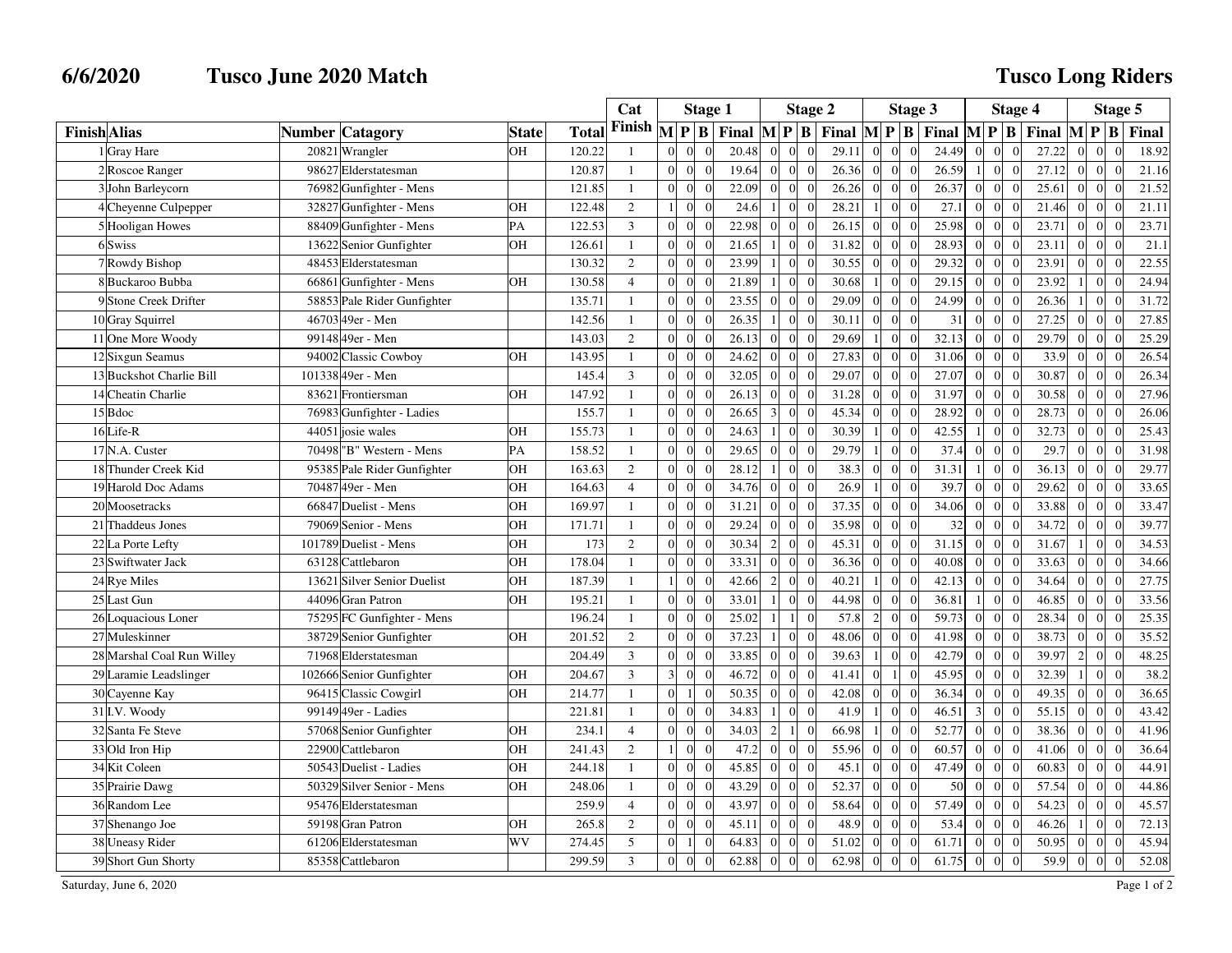## **6/6/2020 Tusco June 2020 Match**

## **Tusco Long Riders**

|                            |                             |              |        | Cat            |                                  | <b>Stage 1</b> |                                          |                  | <b>Stage 2</b>             |       |                 |                 | Stage 3                                                                                                                    |                | <b>Stage 4</b>                   |       |                | Stage 5         |                         |
|----------------------------|-----------------------------|--------------|--------|----------------|----------------------------------|----------------|------------------------------------------|------------------|----------------------------|-------|-----------------|-----------------|----------------------------------------------------------------------------------------------------------------------------|----------------|----------------------------------|-------|----------------|-----------------|-------------------------|
| <b>Finish Alias</b>        | <b>Number Catagory</b>      | <b>State</b> | Total  | Finish         | $M$ $P$ $B$                      |                | Final $\mathbf{M} \mathbf{P} \mathbf{B}$ |                  |                            |       |                 |                 | Final $\mathbf{M} \mathbf{P} \mathbf{B}$ Final $\mathbf{M} \mathbf{P} \mathbf{B}$ Final $\mathbf{M} \mathbf{P} \mathbf{B}$ |                |                                  |       |                |                 | Final                   |
| 1 Gray Hare                | 20821 Wrangler              | OН           | 120.22 | $\mathbf{1}$   | $\Omega$<br>$\overline{0}$       | $\Omega$       | 20.48                                    | $\mathbf{0}$     |                            | 29.11 | $\vert 0 \vert$ | $\Omega$        | $\theta$<br>24.49                                                                                                          | $\overline{0}$ | $\overline{0}$<br>$\Omega$       | 27.22 | $\Omega$       | $\overline{0}$  | 18.92<br>$\Omega$       |
| 2 Roscoe Ranger            | 98627 Elderstatesman        |              | 120.87 | $\mathbf{1}$   | $\mathbf{0}$<br>$\overline{0}$   | $\Omega$       | 19.64                                    | $\mathbf{0}$     | $\theta$<br>$\Omega$       | 26.36 | $\overline{0}$  | $\overline{0}$  | $\overline{0}$<br>26.59                                                                                                    | $\mathbf{1}$   | $\overline{0}$<br>$\vert$ 0      | 27.12 | $\overline{0}$ | $\overline{0}$  | $\Omega$<br>21.16       |
| 3 John Barleycorn          | 76982 Gunfighter - Mens     |              | 121.85 | $\mathbf{1}$   | $\overline{0}$<br>$\overline{0}$ | $\Omega$       | 22.09                                    | $\mathbf{0}$     |                            | 26.26 | $\overline{0}$  | $\overline{0}$  | $\overline{0}$<br>26.37                                                                                                    | $\overline{0}$ | $\mathbf{0}$<br>$\Omega$         | 25.61 | $\overline{0}$ | $\vert$ 0       | 21.52<br>$\sqrt{ }$     |
| 4 Cheyenne Culpepper       | 32827 Gunfighter - Mens     | OН           | 122.48 | $\overline{2}$ | $\Omega$                         | $\Omega$       | 24.6                                     |                  | $\Omega$                   | 28.21 | $1\vert$        | $\overline{0}$  | $\theta$<br>27.1                                                                                                           | $\Omega$       | $\mathbf{0}$<br>$\Omega$         | 21.46 | $\Omega$       | $\overline{0}$  | 21.11                   |
| 5 Hooligan Howes           | 88409 Gunfighter - Mens     | PA           | 122.53 | $\overline{3}$ | $\Omega$<br>$\overline{0}$       | $\Omega$       | 22.98                                    | $\theta$         | $\Omega$                   | 26.15 | $\overline{0}$  | $\overline{0}$  | 25.98<br>$\overline{0}$                                                                                                    | $\Omega$       | $\overline{0}$<br>$\Omega$       | 23.71 | $\Omega$       | $\overline{0}$  | 23.71<br>$\Omega$       |
| 6 <sup>Swiss</sup>         | 13622 Senior Gunfighter     | OН           | 126.61 | $\overline{1}$ | $\Omega$<br>$\Omega$             | $\Omega$       | 21.65                                    | $\overline{1}$   | $\Omega$                   | 31.82 | $\overline{0}$  | $\overline{0}$  | 28.93<br>$\Omega$                                                                                                          | $\Omega$       | $\overline{0}$<br>$\Omega$       | 23.11 | $\Omega$       | $\vert$ 0       | 21.1<br>$\sqrt{ }$      |
| 7 Rowdy Bishop             | 48453 Elderstatesman        |              | 130.32 | $\overline{2}$ | $\Omega$<br>$\Omega$             | $\Omega$       | 23.99                                    | $\overline{1}$   | $\Omega$<br>$\Omega$       | 30.55 | $\overline{0}$  | $\Omega$        | 29.32<br>$\theta$                                                                                                          | $\Omega$       | $\Omega$<br>$\Omega$             | 23.91 | $\Omega$       | $\Omega$        | 22.55<br>$\Omega$       |
| 8Buckaroo Bubba            | 66861 Gunfighter - Mens     | OН           | 130.58 | $\overline{4}$ | $\Omega$<br>$\boldsymbol{0}$     |                | 21.89                                    | $\mathbf{1}$     | $\mathcal{C}$              | 30.68 | $1\vert$        | $\vert 0 \vert$ | $\overline{0}$<br>29.15                                                                                                    | $\Omega$       | $\boldsymbol{0}$<br>$\Omega$     | 23.92 |                | $\overline{0}$  | 24.94                   |
| 9 Stone Creek Drifter      | 58853 Pale Rider Gunfighter |              | 135.71 | $\overline{1}$ | $\Omega$<br>$\overline{0}$       |                | 23.55                                    | $\overline{0}$   |                            | 29.09 | $\vert 0 \vert$ | $\overline{0}$  | $\overline{0}$<br>24.99                                                                                                    | $\overline{0}$ | $\boldsymbol{0}$<br>$\Omega$     | 26.36 |                | $\overline{0}$  | 31.72                   |
| 10 Gray Squirrel           | 46703 49er - Men            |              | 142.56 | $\mathbf{1}$   | $\Omega$<br>$\overline{0}$       | $\epsilon$     | 26.35                                    | $\mathbf{1}$     | $\overline{0}$<br>$\Omega$ | 30.11 | $\mathbf{0}$    | $\overline{0}$  | $\overline{0}$<br>31                                                                                                       | $\overline{0}$ | $\overline{0}$<br>$\Omega$       | 27.25 | $\Omega$       | $\vert 0 \vert$ | 27.85<br>$\sqrt{ }$     |
| 11 One More Woody          | 9914849er - Men             |              | 143.03 | $\overline{2}$ | $\Omega$<br>$\overline{0}$       | $\Omega$       | 26.13                                    | $\overline{0}$   | $\Omega$                   | 29.69 | $1\vert$        | $\overline{0}$  | 32.13<br>$\overline{0}$                                                                                                    | $\overline{0}$ | $\mathbf{0}$<br>$\Omega$         | 29.79 | $\Omega$       | $\overline{0}$  | 25.29                   |
| 12 Sixgun Seamus           | 94002 Classic Cowboy        | OН           | 143.95 | $\mathbf{1}$   | $\Omega$<br>$\Omega$             | $\Omega$       | 24.62                                    | $\overline{0}$   | $\Omega$<br>$\Omega$       | 27.83 | $\overline{0}$  | $\Omega$        | $\theta$<br>31.06                                                                                                          | $\Omega$       | $\overline{0}$<br>$\Omega$       | 33.9  | $\Omega$       | $\overline{0}$  | 26.54<br>$\sqrt{ }$     |
| 13 Buckshot Charlie Bill   | 101338 49er - Men           |              | 145.4  | $\mathfrak{Z}$ | $\Omega$<br>$\overline{0}$       | $\epsilon$     | 32.05                                    | $\mathbf{0}$     | $\mathcal{C}$              | 29.07 | $\mathbf{0}$    | $\overline{0}$  | 27.07<br>$\overline{0}$                                                                                                    | $\overline{0}$ | $\overline{0}$<br>$\Omega$       | 30.87 | $\overline{0}$ | $\overline{0}$  | 26.34<br>$\sqrt{ }$     |
| 14 Cheatin Charlie         | 83621<br>Frontiersman       | OН           | 147.92 | $\overline{1}$ | $\Omega$<br>$\Omega$             | $\Omega$       | 26.13                                    | $\overline{0}$   | $\Omega$                   | 31.28 | $\overline{0}$  | $\overline{0}$  | $\theta$<br>31.97                                                                                                          | $\Omega$       | $\overline{0}$<br>$\Omega$       | 30.58 | $\Omega$       | $\vert$ 0       | 27.96                   |
| 15 Bdoc                    | 76983 Gunfighter - Ladies   |              | 155.7  | $\mathbf{1}$   | $\Omega$<br>$\Omega$             | $\Omega$       | 26.65                                    | 3                | $\Omega$<br>$\Omega$       | 45.34 | $\overline{0}$  | $\Omega$        | $\theta$<br>28.92                                                                                                          | $\Omega$       | $\overline{0}$<br>$\Omega$       | 28.73 | $\Omega$       | $\vert$ 0       | 26.06<br>$\sqrt{ }$     |
| 16 Life-R                  | 44051<br>josie wales        | OН           | 155.73 | $\overline{1}$ | $\Omega$<br>$\Omega$             | $\Omega$       | 24.63                                    | $\overline{1}$   | $\Omega$                   | 30.39 | 1 <sup>1</sup>  | $\Omega$        | 42.55<br>$\Omega$                                                                                                          |                | $\mathbf{0}$<br>$\Omega$         | 32.73 | $\Omega$       | $\mathbf{0}$    | 25.43                   |
| 17 N.A. Custer             | 70498<br>'B" Western - Mens | PA           | 158.52 | $\overline{1}$ | $\Omega$<br>$\Omega$             | $\Omega$       | 29.65                                    | $\overline{0}$   | $\Omega$<br>$\Omega$       | 29.79 | 1 <sup>1</sup>  | $\overline{0}$  | $\overline{0}$<br>37.4                                                                                                     | $\Omega$       | $\overline{0}$<br>$\Omega$       | 29.7  | $\Omega$       | $\mathbf{0}$    | 31.98                   |
| 18 Thunder Creek Kid       | 95385 Pale Rider Gunfighter | OН           | 163.63 | $\overline{2}$ | $\overline{0}$<br>$\overline{0}$ | $\sqrt{ }$     | 28.12                                    | $\overline{1}$   | $\Omega$                   | 38.3  | $\mathbf{0}$    | $\vert 0 \vert$ | 31.31<br>$\overline{0}$                                                                                                    | -1             | $\overline{0}$<br>$\overline{0}$ | 36.13 | $\overline{0}$ | $\overline{0}$  | 29.77                   |
| 19 Harold Doc Adams        | 70487 49er - Men            | OН           | 164.63 | $\overline{4}$ | $\overline{0}$<br>$\Omega$       | $\epsilon$     | 34.76                                    | $\overline{0}$   | $\Omega$                   | 26.9  | $1\vert$        | $\overline{0}$  | $\overline{0}$<br>39.7                                                                                                     | $\Omega$       | $\overline{0}$<br>$\Omega$       | 29.62 | $\Omega$       | $\vert 0 \vert$ | 33.65                   |
| 20 Moosetracks             | 66847 Duelist - Mens        | OH           | 169.97 | $\mathbf{1}$   | $\Omega$<br>$\overline{0}$       | $\Omega$       | 31.21                                    | $\mathbf{0}$     | $\theta$                   | 37.35 | $\overline{0}$  | $\overline{0}$  | $\theta$<br>34.06                                                                                                          | $\Omega$       | $\overline{0}$<br>$\Omega$       | 33.88 | $\Omega$       | $\overline{0}$  | 33.47<br>$\sqrt{ }$     |
| 21 Thaddeus Jones          | 79069 Senior - Mens         | OН           | 171.71 | 1              | $\Omega$<br>$\overline{0}$       |                | 29.24                                    | $\theta$         | $\Omega$                   | 35.98 | $\overline{0}$  | $\overline{0}$  | $\theta$<br>32                                                                                                             | $\Omega$       | $\overline{0}$<br>$\Omega$       | 34.72 | $\Omega$       | $\overline{0}$  | 39.77                   |
| 22 La Porte Lefty          | Duelist - Mens<br>101789    | OН           | 173    | $\overline{2}$ | $\Omega$<br>$\Omega$             | $\Omega$       | 30.34                                    | $\overline{2}$   | $\sqrt{ }$                 | 45.31 | $\overline{0}$  | $\Omega$        | 31.15<br>$\theta$                                                                                                          | $\Omega$       | $\overline{0}$<br>$\Omega$       | 31.67 |                | $\mathbf{0}$    | 34.53                   |
| 23 Swiftwater Jack         | 63128 Cattlebaron           | OН           | 178.04 | $\mathbf{1}$   | $\Omega$<br>$\overline{0}$       | $\epsilon$     | 33.31                                    | $\theta$         | $\Omega$                   | 36.36 | $\overline{0}$  | $\overline{0}$  | $\overline{0}$<br>40.08                                                                                                    | $\overline{0}$ | $\vert$ 0<br>$\Omega$            | 33.63 | $\overline{0}$ | $\vert$ 0       | 34.66<br>$\Omega$       |
| 24 Rye Miles               | 13621 Silver Senior Duelist | OН           | 187.39 | $\mathbf{1}$   | $\boldsymbol{0}$<br>$\mathbf{1}$ | $\Omega$       | 42.66                                    | $\overline{2}$   | $\Omega$                   | 40.21 | $\vert$         | $\overline{0}$  | $\overline{0}$<br>42.13                                                                                                    | $\overline{0}$ | $\vert 0 \vert$<br>$\Omega$      | 34.64 | $\Omega$       | $\vert 0 \vert$ | 27.75<br>$\sqrt{ }$     |
| 25 Last Gun                | 44096 Gran Patron           | OН           | 195.21 | $\mathbf{1}$   | $\Omega$<br>$\overline{0}$       | $\Omega$       | 33.01                                    | $\overline{1}$   | $\theta$<br>$\Omega$       | 44.98 | $\vert 0 \vert$ | $\overline{0}$  | $\theta$<br>36.81                                                                                                          | $\mathbf{1}$   | $\overline{0}$<br>$\Omega$       | 46.85 | $\Omega$       | $\overline{0}$  | 33.56<br>$\Omega$       |
| 26 Loquacious Loner        | 75295 FC Gunfighter - Mens  |              | 196.24 | $\mathbf{1}$   | $\Omega$<br>$\overline{0}$       |                | 25.02                                    | $\overline{1}$   | $\overline{0}$             | 57.8  | $\overline{2}$  | $\overline{0}$  | 59.73<br>$\overline{0}$                                                                                                    | $\Omega$       | $\boldsymbol{0}$<br>$\Omega$     | 28.34 | $\theta$       | $\overline{0}$  | 25.35                   |
| 27 Muleskinner             | 38729 Senior Gunfighter     | OН           | 201.52 | $\overline{2}$ | $\Omega$<br>$\Omega$             | $\Omega$       | 37.23                                    | $\overline{1}$   | $\Omega$                   | 48.06 | $\vert 0 \vert$ | $\overline{0}$  | $\overline{0}$<br>41.98                                                                                                    | $\Omega$       | $\overline{0}$<br>$\Omega$       | 38.73 | $\Omega$       | $\mathbf{0}$    | 35.52                   |
| 28 Marshal Coal Run Willey | 71968 Elderstatesman        |              | 204.49 | 3              | $\overline{0}$<br>$\overline{0}$ | $\sqrt{ }$     | 33.85                                    | $\overline{0}$   | $\overline{0}$             | 39.63 | $\vert$ 1       | $\overline{0}$  | 42.79<br>$\overline{0}$                                                                                                    | $\overline{0}$ | $\vert$ 0<br>$\overline{0}$      | 39.97 | $\overline{2}$ | $\overline{0}$  | 48.25<br>$\Omega$       |
| 29 Laramie Leadslinger     | 102666 Senior Gunfighter    | OН           | 204.67 | $\mathfrak{Z}$ | $\overline{3}$<br>$\overline{0}$ | $\Omega$       | 46.72                                    | $\overline{0}$   | $\Omega$                   | 41.41 | $\vert 0 \vert$ | $\mathbf{1}$    | $\overline{0}$<br>45.95                                                                                                    | $\Omega$       | $\overline{0}$<br>$\Omega$       | 32.39 |                | $\overline{0}$  | 38.2<br>$\sqrt{ }$      |
| 30 Cayenne Kay             | 96415 Classic Cowgirl       | OН           | 214.77 | $\overline{1}$ | $\Omega$                         | $\Omega$       | 50.35                                    | $\Omega$         | $\Omega$                   | 42.08 | $\overline{0}$  | $\overline{0}$  | $\theta$<br>36.34                                                                                                          | $\Omega$       | $\overline{0}$<br>$\Omega$       | 49.35 | $\Omega$       | $\overline{0}$  | 36.65<br>$\sqrt{ }$     |
| 31 I.V. Woody              | 99149 49er - Ladies         |              | 221.81 | $\overline{1}$ | $\overline{0}$<br>$\overline{0}$ | $\epsilon$     | 34.83                                    | $\mathbf{1}$     | $\overline{0}$             | 41.9  | 1 <sup>1</sup>  | $\vert 0 \vert$ | $\overline{0}$<br>46.51                                                                                                    | $\overline{3}$ | $\overline{0}$<br>$\overline{0}$ | 55.15 | $\overline{0}$ | $\vert 0 \vert$ | 43.42<br>$\overline{0}$ |
| 32 Santa Fe Steve          | 57068 Senior Gunfighter     | OН           | 234.1  | $\overline{4}$ | $\overline{0}$<br>$\Omega$       | $\Omega$       | 34.03                                    | $\overline{2}$   | $\overline{0}$             | 66.98 | $1\vert$        | $\overline{0}$  | $\overline{0}$<br>52.77                                                                                                    | $\overline{0}$ | $\overline{0}$<br>$\Omega$       | 38.36 | $\Omega$       | $\vert 0 \vert$ | 41.96<br>$\sqrt{ }$     |
| 33 Old Iron Hip            | 22900 Cattlebaron           | OН           | 241.43 | 2              | $\overline{0}$<br>$\mathbf{1}$   | $\Omega$       | 47.2                                     | $\overline{0}$   | $\overline{0}$             | 55.96 | $\overline{0}$  | $\overline{0}$  | 60.57<br>$\overline{0}$                                                                                                    | $\overline{0}$ | $\overline{0}$<br>$\Omega$       | 41.06 | $\Omega$       | $\overline{0}$  | 36.64<br>$\sqrt{ }$     |
| 34 Kit Coleen              | 50543 Duelist - Ladies      | OН           | 244.18 | $\mathbf{1}$   | $\Omega$<br>$\boldsymbol{0}$     | $\sqrt{ }$     | 45.85                                    | $\boldsymbol{0}$ | $\Omega$                   | 45.1  | $\vert 0 \vert$ | $\overline{0}$  | $\overline{0}$<br>47.49                                                                                                    | $\Omega$       | $\boldsymbol{0}$<br>$\Omega$     | 60.83 | $\overline{0}$ | $\overline{0}$  | 44.91                   |
| 35 Prairie Dawg            | 50329 Silver Senior - Mens  | OН           | 248.06 | $\overline{1}$ | $\Omega$<br>$\Omega$             | $\Omega$       | 43.29                                    | $\theta$         | $\Omega$                   | 52.37 | $\mathbf{0}$    | $\overline{0}$  | $\Omega$<br>50                                                                                                             | $\Omega$       | $\overline{0}$<br>$\Omega$       | 57.54 | $\Omega$       | $\overline{0}$  | 44.86<br>$\Omega$       |
| 36 Random Lee              | 95476 Elderstatesman        |              | 259.9  | $\overline{4}$ | $\Omega$<br>$\overline{0}$       | $\Omega$       | 43.97                                    | $\overline{0}$   | $\Omega$                   | 58.64 | $\overline{0}$  | $\overline{0}$  | 57.49<br>$\overline{0}$                                                                                                    | $\Omega$       | $\overline{0}$<br>$\Omega$       | 54.23 | $\Omega$       | $\overline{0}$  | 45.57<br>$\Omega$       |
| 37 Shenango Joe            | 59198 Gran Patron           | OН           | 265.8  | 2              | $\Omega$<br>$\Omega$             | $\Omega$       | 45.11                                    | $\overline{0}$   | $\Omega$                   | 48.9  | $\overline{0}$  | $\Omega$        | 53.4<br>$\Omega$                                                                                                           | $\Omega$       | $\vert$ 0<br>$\Omega$            | 46.26 |                | $\vert$ 0       | 72.13                   |
| 38 Uneasy Rider            | 61206 Elderstatesman        | WV           | 274.45 | 5              | $\Omega$                         | $\Omega$       | 64.83                                    | $\theta$         | $\Omega$                   | 51.02 | $\overline{0}$  | $\Omega$        | $\theta$<br>61.71                                                                                                          | $\Omega$       | $\overline{0}$<br>$\Omega$       | 50.95 | $\Omega$       | $\Omega$        | 45.94<br>$\Omega$       |
| 39 Short Gun Shorty        | 85358 Cattlebaron           |              | 299.59 | 3              | $\overline{0}$<br>$\mathbf{0}$   | $\Omega$       | 62.88                                    | $\mathbf{0}$     | $\theta$                   | 62.98 | $\overline{0}$  | $\overline{0}$  | $\mathbf{0}$<br>61.75                                                                                                      | 0              | $\overline{0}$<br>$\overline{0}$ | 59.9  | $\overline{0}$ | $\vert 0 \vert$ | 52.08<br>$\overline{0}$ |

Saturday, June 6, 2020